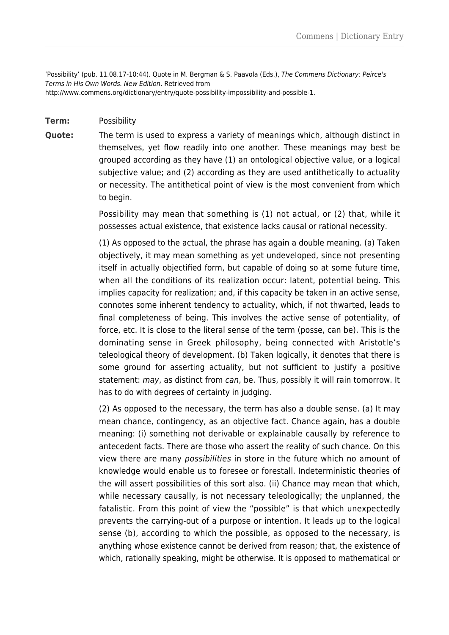'Possibility' (pub. 11.08.17-10:44). Quote in M. Bergman & S. Paavola (Eds.), The Commens Dictionary: Peirce's Terms in His Own Words. New Edition. Retrieved from http://www.commens.org/dictionary/entry/quote-possibility-impossibility-and-possible-1.

## **Term:** Possibility

**Quote:** The term is used to express a variety of meanings which, although distinct in themselves, yet flow readily into one another. These meanings may best be grouped according as they have (1) an ontological objective value, or a logical subjective value; and (2) according as they are used antithetically to actuality or necessity. The antithetical point of view is the most convenient from which to begin.

> Possibility may mean that something is (1) not actual, or (2) that, while it possesses actual existence, that existence lacks causal or rational necessity.

> (1) As opposed to the actual, the phrase has again a double meaning. (a) Taken objectively, it may mean something as yet undeveloped, since not presenting itself in actually objectified form, but capable of doing so at some future time, when all the conditions of its realization occur: latent, potential being. This implies capacity for realization; and, if this capacity be taken in an active sense, connotes some inherent tendency to actuality, which, if not thwarted, leads to final completeness of being. This involves the active sense of potentiality, of force, etc. It is close to the literal sense of the term (posse, can be). This is the dominating sense in Greek philosophy, being connected with Aristotle's teleological theory of development. (b) Taken logically, it denotes that there is some ground for asserting actuality, but not sufficient to justify a positive statement: may, as distinct from can, be. Thus, possibly it will rain tomorrow. It has to do with degrees of certainty in judging.

> (2) As opposed to the necessary, the term has also a double sense. (a) It may mean chance, contingency, as an objective fact. Chance again, has a double meaning: (i) something not derivable or explainable causally by reference to antecedent facts. There are those who assert the reality of such chance. On this view there are many possibilities in store in the future which no amount of knowledge would enable us to foresee or forestall. Indeterministic theories of the will assert possibilities of this sort also. (ii) Chance may mean that which, while necessary causally, is not necessary teleologically; the unplanned, the fatalistic. From this point of view the "possible" is that which unexpectedly prevents the carrying-out of a purpose or intention. It leads up to the logical sense (b), according to which the possible, as opposed to the necessary, is anything whose existence cannot be derived from reason; that, the existence of which, rationally speaking, might be otherwise. It is opposed to mathematical or